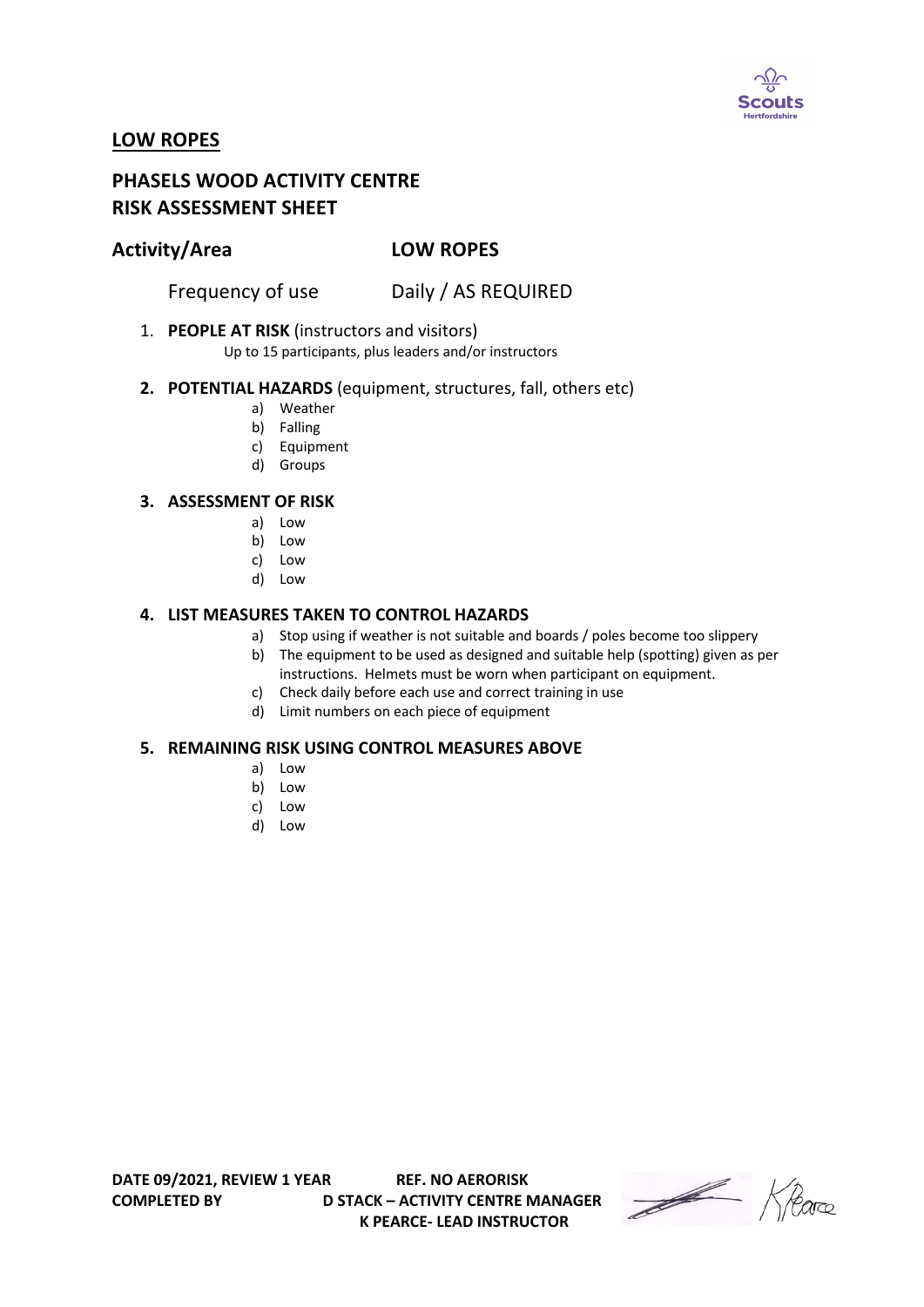

# **LOW ROPES**

# **PHASELS WOOD ACTIVITY CENTRE RISK ASSESSMENT SHEET**

## **Activity/Area LOW ROPES**

Frequency of use Daily / AS REQUIRED

1. **PEOPLE AT RISK** (instructors and visitors)

Up to 15 participants, plus leaders and/or instructors

### **2. POTENTIAL HAZARDS** (equipment, structures, fall, others etc)

- a) Weather
- b) Falling
- c) Equipment
- d) Groups

### **3. ASSESSMENT OF RISK**

- a) Low
- b) Low
- c) Low
- d) Low

### **4. LIST MEASURES TAKEN TO CONTROL HAZARDS**

- a) Stop using if weather is not suitable and boards / poles become too slippery
- b) The equipment to be used as designed and suitable help (spotting) given as per instructions. Helmets must be worn when participant on equipment.
- c) Check daily before each use and correct training in use
- d) Limit numbers on each piece of equipment

#### **5. REMAINING RISK USING CONTROL MEASURES ABOVE**

- a) Low
- b) Low
- c) Low
- d) Low

**COMPLETED BY D STACK – ACTIVITY CENTRE MANAGER K PEARCE- LEAD INSTRUCTOR** 

Heare